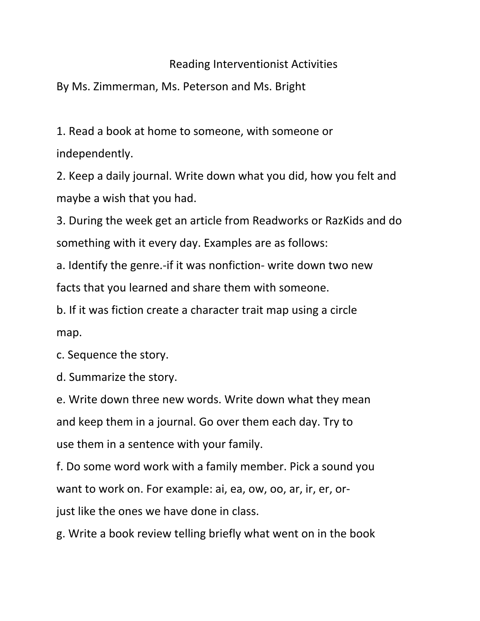## Reading Interventionist Activities

By Ms. Zimmerman, Ms. Peterson and Ms. Bright

1. Read a book at home to someone, with someone or independently.

2. Keep a daily journal. Write down what you did, how you felt and maybe a wish that you had.

3. During the week get an article from Readworks or RazKids and do something with it every day. Examples are as follows:

a. Identify the genre.-if it was nonfiction- write down two new facts that you learned and share them with someone.

b. If it was fiction create a character trait map using a circle map.

c. Sequence the story.

d. Summarize the story.

e. Write down three new words. Write down what they mean and keep them in a journal. Go over them each day. Try to use them in a sentence with your family.

f. Do some word work with a family member. Pick a sound you want to work on. For example: ai, ea, ow, oo, ar, ir, er, orjust like the ones we have done in class.

g. Write a book review telling briefly what went on in the book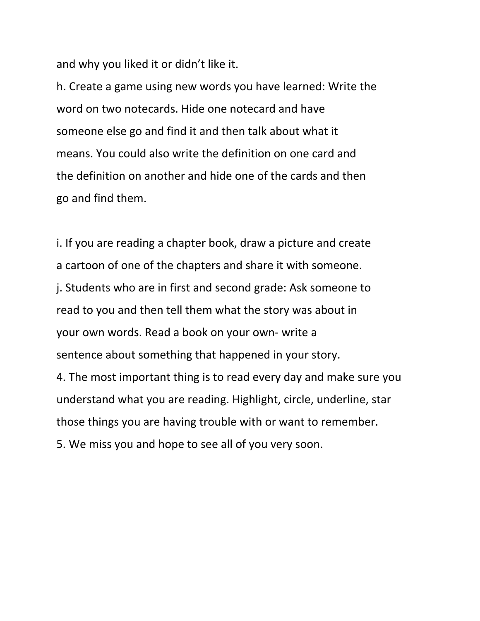and why you liked it or didn't like it.

h. Create a game using new words you have learned: Write the word on two notecards. Hide one notecard and have someone else go and find it and then talk about what it means. You could also write the definition on one card and the definition on another and hide one of the cards and then go and find them.

i. If you are reading a chapter book, draw a picture and create a cartoon of one of the chapters and share it with someone. j. Students who are in first and second grade: Ask someone to read to you and then tell them what the story was about in your own words. Read a book on your own- write a sentence about something that happened in your story. 4. The most important thing is to read every day and make sure you understand what you are reading. Highlight, circle, underline, star those things you are having trouble with or want to remember. 5. We miss you and hope to see all of you very soon.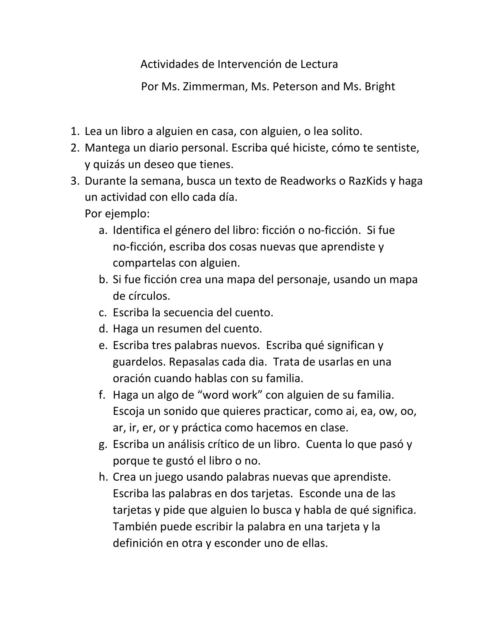Actividades de Intervención de Lectura

Por Ms. Zimmerman, Ms. Peterson and Ms. Bright

- 1. Lea un libro a alguien en casa, con alguien, o lea solito.
- 2. Mantega un diario personal. Escriba qué hiciste, cómo te sentiste, y quizás un deseo que tienes.
- 3. Durante la semana, busca un texto de Readworks o RazKids y haga un actividad con ello cada día.

Por ejemplo:

- a. Identifica el género del libro: ficción o no-ficción. Si fue no-ficción, escriba dos cosas nuevas que aprendiste y compartelas con alguien.
- b. Si fue ficción crea una mapa del personaje, usando un mapa de círculos.
- c. Escriba la secuencia del cuento.
- d. Haga un resumen del cuento.
- e. Escriba tres palabras nuevos. Escriba qué significan y guardelos. Repasalas cada dia. Trata de usarlas en una oración cuando hablas con su familia.
- f. Haga un algo de "word work" con alguien de su familia. Escoja un sonido que quieres practicar, como ai, ea, ow, oo, ar, ir, er, or y práctica como hacemos en clase.
- g. Escriba un análisis crítico de un libro. Cuenta lo que pasó y porque te gustó el libro o no.
- h. Crea un juego usando palabras nuevas que aprendiste. Escriba las palabras en dos tarjetas. Esconde una de las tarjetas y pide que alguien lo busca y habla de qué significa. También puede escribir la palabra en una tarjeta y la definición en otra y esconder uno de ellas.